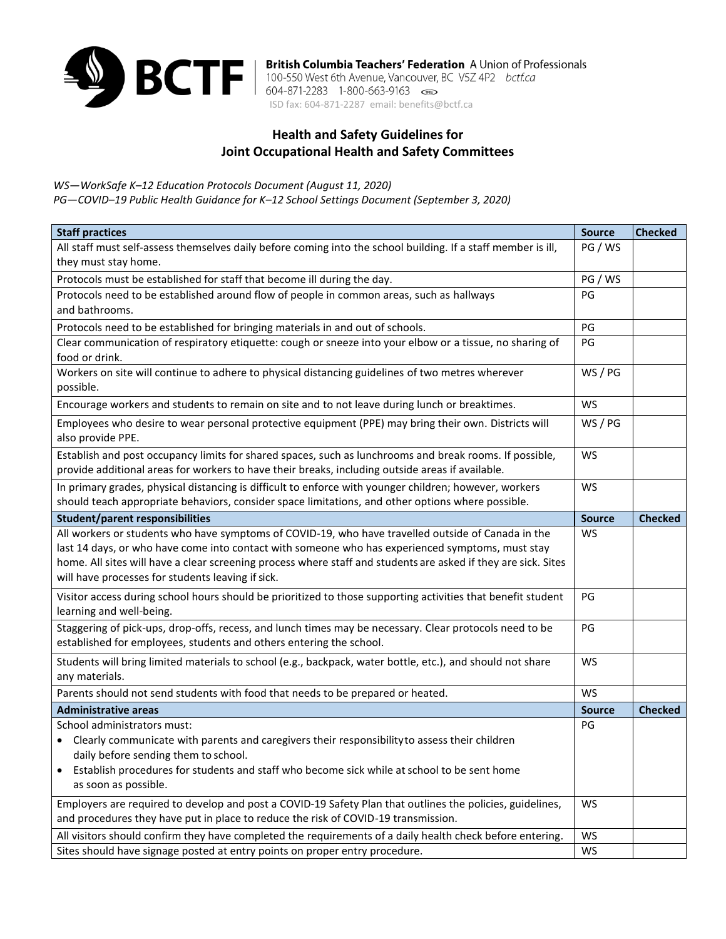

**British Columbia Teachers' Federation** A Union of Professionals<br>100-550 West 6th Avenue, Vancouver, BC V5Z 4P2 *bctf.ca*<br>15D fax: 604-871-2287 email: benefits@bctf.ca

## **Health and Safety Guidelines for Joint Occupational Health and Safety Committees**

*WS—WorkSafe K–12 Education Protocols Document (August 11, 2020)* 

*PG—COVID–19 Public Health Guidance for K–12 School Settings Document (September 3, 2020)*

| <b>Staff practices</b>                                                                                                                                                                                                                                                                                                                                                        | <b>Source</b> | <b>Checked</b> |
|-------------------------------------------------------------------------------------------------------------------------------------------------------------------------------------------------------------------------------------------------------------------------------------------------------------------------------------------------------------------------------|---------------|----------------|
| All staff must self-assess themselves daily before coming into the school building. If a staff member is ill,                                                                                                                                                                                                                                                                 | PG / WS       |                |
| they must stay home.                                                                                                                                                                                                                                                                                                                                                          |               |                |
| Protocols must be established for staff that become ill during the day.                                                                                                                                                                                                                                                                                                       | PG / WS       |                |
| Protocols need to be established around flow of people in common areas, such as hallways                                                                                                                                                                                                                                                                                      | PG            |                |
| and bathrooms.                                                                                                                                                                                                                                                                                                                                                                |               |                |
| Protocols need to be established for bringing materials in and out of schools.                                                                                                                                                                                                                                                                                                | PG            |                |
| Clear communication of respiratory etiquette: cough or sneeze into your elbow or a tissue, no sharing of<br>food or drink.                                                                                                                                                                                                                                                    | PG            |                |
| Workers on site will continue to adhere to physical distancing guidelines of two metres wherever<br>possible.                                                                                                                                                                                                                                                                 | WS / PG       |                |
| Encourage workers and students to remain on site and to not leave during lunch or breaktimes.                                                                                                                                                                                                                                                                                 | <b>WS</b>     |                |
| Employees who desire to wear personal protective equipment (PPE) may bring their own. Districts will<br>also provide PPE.                                                                                                                                                                                                                                                     | WS / PG       |                |
| Establish and post occupancy limits for shared spaces, such as lunchrooms and break rooms. If possible,<br>provide additional areas for workers to have their breaks, including outside areas if available.                                                                                                                                                                   | <b>WS</b>     |                |
| In primary grades, physical distancing is difficult to enforce with younger children; however, workers<br>should teach appropriate behaviors, consider space limitations, and other options where possible.                                                                                                                                                                   | <b>WS</b>     |                |
| <b>Student/parent responsibilities</b>                                                                                                                                                                                                                                                                                                                                        | <b>Source</b> | <b>Checked</b> |
| All workers or students who have symptoms of COVID-19, who have travelled outside of Canada in the<br>last 14 days, or who have come into contact with someone who has experienced symptoms, must stay<br>home. All sites will have a clear screening process where staff and students are asked if they are sick. Sites<br>will have processes for students leaving if sick. | <b>WS</b>     |                |
| Visitor access during school hours should be prioritized to those supporting activities that benefit student<br>learning and well-being.                                                                                                                                                                                                                                      | PG            |                |
| Staggering of pick-ups, drop-offs, recess, and lunch times may be necessary. Clear protocols need to be<br>established for employees, students and others entering the school.                                                                                                                                                                                                | PG            |                |
| Students will bring limited materials to school (e.g., backpack, water bottle, etc.), and should not share<br>any materials.                                                                                                                                                                                                                                                  | WS            |                |
| Parents should not send students with food that needs to be prepared or heated.                                                                                                                                                                                                                                                                                               | <b>WS</b>     |                |
| <b>Administrative areas</b>                                                                                                                                                                                                                                                                                                                                                   | <b>Source</b> | <b>Checked</b> |
| School administrators must:                                                                                                                                                                                                                                                                                                                                                   | PG            |                |
| • Clearly communicate with parents and caregivers their responsibility to assess their children                                                                                                                                                                                                                                                                               |               |                |
| daily before sending them to school.                                                                                                                                                                                                                                                                                                                                          |               |                |
| Establish procedures for students and staff who become sick while at school to be sent home<br>as soon as possible.                                                                                                                                                                                                                                                           |               |                |
| Employers are required to develop and post a COVID-19 Safety Plan that outlines the policies, guidelines,<br>and procedures they have put in place to reduce the risk of COVID-19 transmission.                                                                                                                                                                               | WS            |                |
| All visitors should confirm they have completed the requirements of a daily health check before entering.                                                                                                                                                                                                                                                                     | WS            |                |
| Sites should have signage posted at entry points on proper entry procedure.                                                                                                                                                                                                                                                                                                   | WS            |                |